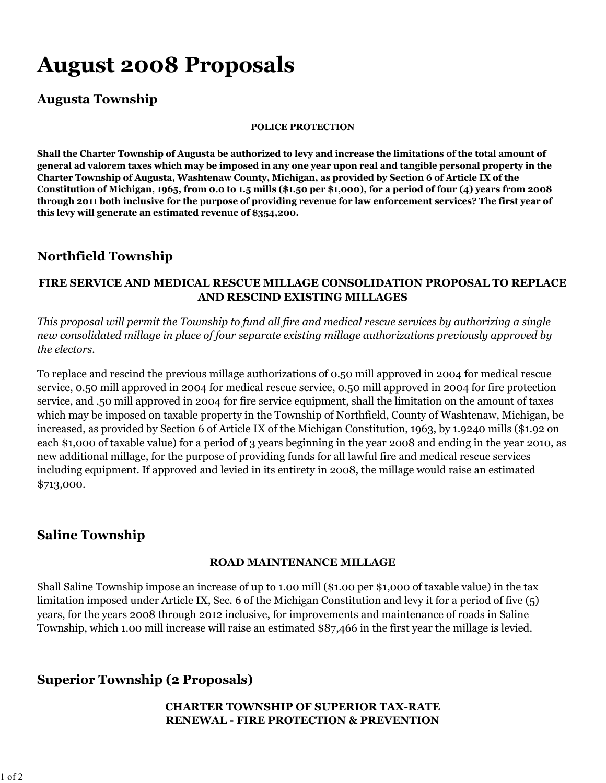# **August 2008 Proposals**

## **Augusta Township**

#### **POLICE PROTECTION**

**Shall the Charter Township of Augusta be authorized to levy and increase the limitations of the total amount of general ad valorem taxes which may be imposed in any one year upon real and tangible personal property in the Charter Township of Augusta, Washtenaw County, Michigan, as provided by Section 6 of Article IX of the Constitution of Michigan, 1965, from 0.0 to 1.5 mills (\$1.50 per \$1,000), for a period of four (4) years from 2008 through 2011 both inclusive for the purpose of providing revenue for law enforcement services? The first year of this levy will generate an estimated revenue of \$354,200.**

## **Northfield Township**

#### **FIRE SERVICE AND MEDICAL RESCUE MILLAGE CONSOLIDATION PROPOSAL TO REPLACE AND RESCIND EXISTING MILLAGES**

*This proposal will permit the Township to fund all fire and medical rescue services by authorizing a single new consolidated millage in place of four separate existing millage authorizations previously approved by the electors.*

To replace and rescind the previous millage authorizations of 0.50 mill approved in 2004 for medical rescue service, 0.50 mill approved in 2004 for medical rescue service, 0.50 mill approved in 2004 for fire protection service, and .50 mill approved in 2004 for fire service equipment, shall the limitation on the amount of taxes which may be imposed on taxable property in the Township of Northfield, County of Washtenaw, Michigan, be increased, as provided by Section 6 of Article IX of the Michigan Constitution, 1963, by 1.9240 mills (\$1.92 on each \$1,000 of taxable value) for a period of 3 years beginning in the year 2008 and ending in the year 2010, as new additional millage, for the purpose of providing funds for all lawful fire and medical rescue services including equipment. If approved and levied in its entirety in 2008, the millage would raise an estimated \$713,000.

## **Saline Township**

#### **ROAD MAINTENANCE MILLAGE**

Shall Saline Township impose an increase of up to 1.00 mill (\$1.00 per \$1,000 of taxable value) in the tax limitation imposed under Article IX, Sec. 6 of the Michigan Constitution and levy it for a period of five (5) years, for the years 2008 through 2012 inclusive, for improvements and maintenance of roads in Saline Township, which 1.00 mill increase will raise an estimated \$87,466 in the first year the millage is levied.

## **Superior Township (2 Proposals)**

### **CHARTER TOWNSHIP OF SUPERIOR TAX-RATE RENEWAL - FIRE PROTECTION & PREVENTION**